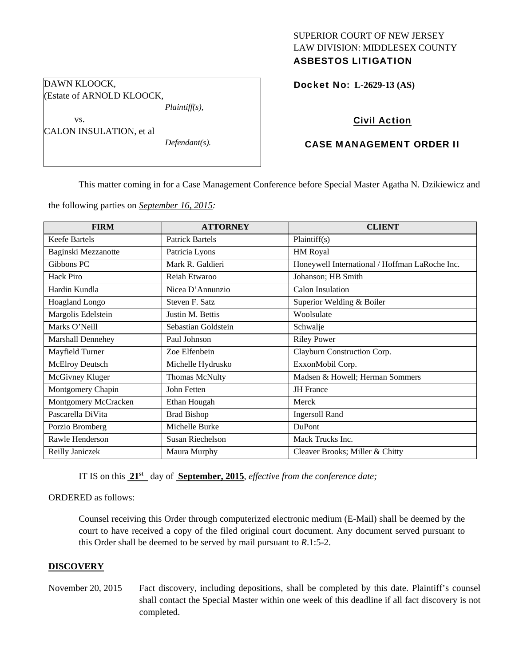## SUPERIOR COURT OF NEW JERSEY LAW DIVISION: MIDDLESEX COUNTY ASBESTOS LITIGATION

Docket No: **L-2629-13 (AS)** 

## Civil Action

## CASE MANAGEMENT ORDER II

This matter coming in for a Case Management Conference before Special Master Agatha N. Dzikiewicz and

the following parties on *September 16, 2015:* 

*Plaintiff(s),* 

*Defendant(s).* 

DAWN KLOOCK,

vs.

(Estate of ARNOLD KLOOCK,

CALON INSULATION, et al

| <b>FIRM</b>            | <b>ATTORNEY</b>        | <b>CLIENT</b>                                  |
|------------------------|------------------------|------------------------------------------------|
| <b>Keefe Bartels</b>   | <b>Patrick Bartels</b> | Plaintiff(s)                                   |
| Baginski Mezzanotte    | Patricia Lyons         | <b>HM Royal</b>                                |
| Gibbons PC             | Mark R. Galdieri       | Honeywell International / Hoffman LaRoche Inc. |
| Hack Piro              | Reiah Etwaroo          | Johanson; HB Smith                             |
| Hardin Kundla          | Nicea D'Annunzio       | Calon Insulation                               |
| <b>Hoagland Longo</b>  | Steven F. Satz         | Superior Welding & Boiler                      |
| Margolis Edelstein     | Justin M. Bettis       | Woolsulate                                     |
| Marks O'Neill          | Sebastian Goldstein    | Schwalje                                       |
| Marshall Dennehey      | Paul Johnson           | <b>Riley Power</b>                             |
| Mayfield Turner        | Zoe Elfenbein          | Clayburn Construction Corp.                    |
| <b>McElroy Deutsch</b> | Michelle Hydrusko      | ExxonMobil Corp.                               |
| McGivney Kluger        | Thomas McNulty         | Madsen & Howell; Herman Sommers                |
| Montgomery Chapin      | John Fetten            | <b>JH</b> France                               |
| Montgomery McCracken   | Ethan Hougah           | Merck                                          |
| Pascarella DiVita      | <b>Brad Bishop</b>     | <b>Ingersoll Rand</b>                          |
| Porzio Bromberg        | Michelle Burke         | DuPont                                         |
| Rawle Henderson        | Susan Riechelson       | Mack Trucks Inc.                               |
| Reilly Janiczek        | Maura Murphy           | Cleaver Brooks; Miller & Chitty                |

IT IS on this **21st** day of **September, 2015**, *effective from the conference date;*

#### ORDERED as follows:

Counsel receiving this Order through computerized electronic medium (E-Mail) shall be deemed by the court to have received a copy of the filed original court document. Any document served pursuant to this Order shall be deemed to be served by mail pursuant to *R*.1:5-2.

#### **DISCOVERY**

November 20, 2015 Fact discovery, including depositions, shall be completed by this date. Plaintiff's counsel shall contact the Special Master within one week of this deadline if all fact discovery is not completed.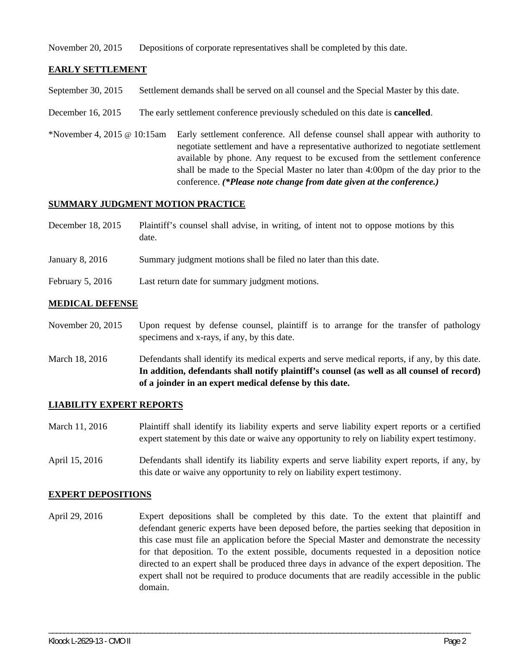November 20, 2015 Depositions of corporate representatives shall be completed by this date.

## **EARLY SETTLEMENT**

September 30, 2015 Settlement demands shall be served on all counsel and the Special Master by this date.

- December 16, 2015 The early settlement conference previously scheduled on this date is **cancelled**.
- \*November 4, 2015 @ 10:15am Early settlement conference. All defense counsel shall appear with authority to negotiate settlement and have a representative authorized to negotiate settlement available by phone. Any request to be excused from the settlement conference shall be made to the Special Master no later than 4:00pm of the day prior to the conference. *(\*Please note change from date given at the conference.)*

#### **SUMMARY JUDGMENT MOTION PRACTICE**

| December 18, 2015 | Plaintiff's counsel shall advise, in writing, of intent not to oppose motions by this |
|-------------------|---------------------------------------------------------------------------------------|
|                   | date.                                                                                 |

- January 8, 2016 Summary judgment motions shall be filed no later than this date.
- February 5, 2016 Last return date for summary judgment motions.

#### **MEDICAL DEFENSE**

November 20, 2015 Upon request by defense counsel, plaintiff is to arrange for the transfer of pathology specimens and x-rays, if any, by this date.

March 18, 2016 Defendants shall identify its medical experts and serve medical reports, if any, by this date. **In addition, defendants shall notify plaintiff's counsel (as well as all counsel of record) of a joinder in an expert medical defense by this date.** 

#### **LIABILITY EXPERT REPORTS**

March 11, 2016 Plaintiff shall identify its liability experts and serve liability expert reports or a certified expert statement by this date or waive any opportunity to rely on liability expert testimony.

April 15, 2016 Defendants shall identify its liability experts and serve liability expert reports, if any, by this date or waive any opportunity to rely on liability expert testimony.

#### **EXPERT DEPOSITIONS**

April 29, 2016 Expert depositions shall be completed by this date. To the extent that plaintiff and defendant generic experts have been deposed before, the parties seeking that deposition in this case must file an application before the Special Master and demonstrate the necessity for that deposition. To the extent possible, documents requested in a deposition notice directed to an expert shall be produced three days in advance of the expert deposition. The expert shall not be required to produce documents that are readily accessible in the public domain.

\_\_\_\_\_\_\_\_\_\_\_\_\_\_\_\_\_\_\_\_\_\_\_\_\_\_\_\_\_\_\_\_\_\_\_\_\_\_\_\_\_\_\_\_\_\_\_\_\_\_\_\_\_\_\_\_\_\_\_\_\_\_\_\_\_\_\_\_\_\_\_\_\_\_\_\_\_\_\_\_\_\_\_\_\_\_\_\_\_\_\_\_\_\_\_\_\_\_\_\_\_\_\_\_\_\_\_\_\_\_